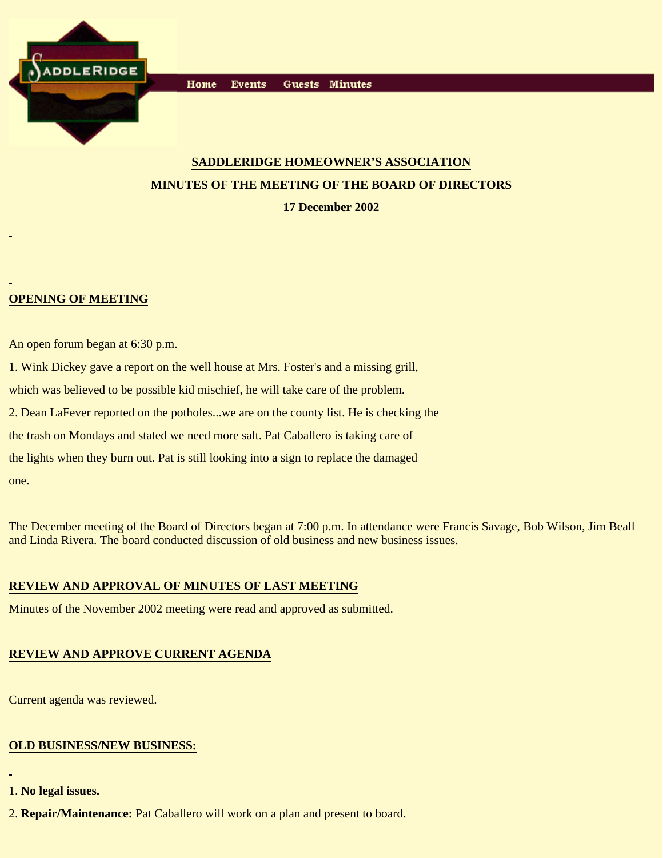

# **SADDLERIDGE HOMEOWNER'S ASSOCIATION MINUTES OF THE MEETING OF THE BOARD OF DIRECTORS**

**17 December 2002**

### **OPENING OF MEETING**

An open forum began at 6:30 p.m.

1. Wink Dickey gave a report on the well house at Mrs. Foster's and a missing grill, which was believed to be possible kid mischief, he will take care of the problem. 2. Dean LaFever reported on the potholes...we are on the county list. He is checking the the trash on Mondays and stated we need more salt. Pat Caballero is taking care of the lights when they burn out. Pat is still looking into a sign to replace the damaged one.

The December meeting of the Board of Directors began at 7:00 p.m. In attendance were Francis Savage, Bob Wilson, Jim Beall and Linda Rivera. The board conducted discussion of old business and new business issues.

#### **REVIEW AND APPROVAL OF MINUTES OF LAST MEETING**

Minutes of the November 2002 meeting were read and approved as submitted.

## **REVIEW AND APPROVE CURRENT AGENDA**

Current agenda was reviewed.

### **OLD BUSINESS/NEW BUSINESS:**

- 1. **No legal issues.**
- 2. **Repair/Maintenance:** Pat Caballero will work on a plan and present to board.